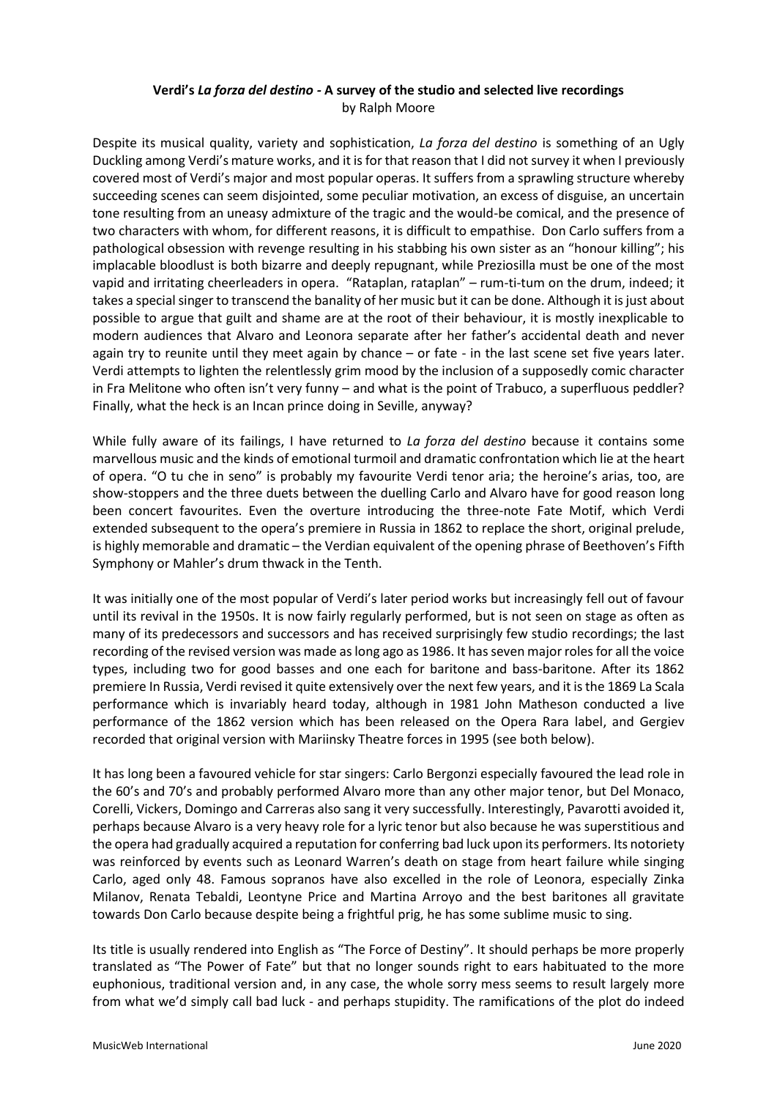# **Verdi's** *La forza del destino -* **A survey of the studio and selected live recordings** by Ralph Moore

Despite its musical quality, variety and sophistication, *La forza del destino* is something of an Ugly Duckling among Verdi's mature works, and it is for that reason that I did not survey it when I previously covered most of Verdi's major and most popular operas. It suffers from a sprawling structure whereby succeeding scenes can seem disjointed, some peculiar motivation, an excess of disguise, an uncertain tone resulting from an uneasy admixture of the tragic and the would-be comical, and the presence of two characters with whom, for different reasons, it is difficult to empathise. Don Carlo suffers from a pathological obsession with revenge resulting in his stabbing his own sister as an "honour killing"; his implacable bloodlust is both bizarre and deeply repugnant, while Preziosilla must be one of the most vapid and irritating cheerleaders in opera. "Rataplan, rataplan" – rum-ti-tum on the drum, indeed; it takes a special singer to transcend the banality of her music but it can be done. Although it is just about possible to argue that guilt and shame are at the root of their behaviour, it is mostly inexplicable to modern audiences that Alvaro and Leonora separate after her father's accidental death and never again try to reunite until they meet again by chance – or fate - in the last scene set five years later. Verdi attempts to lighten the relentlessly grim mood by the inclusion of a supposedly comic character in Fra Melitone who often isn't very funny – and what is the point of Trabuco, a superfluous peddler? Finally, what the heck is an Incan prince doing in Seville, anyway?

While fully aware of its failings, I have returned to *La forza del destino* because it contains some marvellous music and the kinds of emotional turmoil and dramatic confrontation which lie at the heart of opera. "O tu che in seno" is probably my favourite Verdi tenor aria; the heroine's arias, too, are show-stoppers and the three duets between the duelling Carlo and Alvaro have for good reason long been concert favourites. Even the overture introducing the three-note Fate Motif, which Verdi extended subsequent to the opera's premiere in Russia in 1862 to replace the short, original prelude, is highly memorable and dramatic – the Verdian equivalent of the opening phrase of Beethoven's Fifth Symphony or Mahler's drum thwack in the Tenth.

It was initially one of the most popular of Verdi's later period works but increasingly fell out of favour until its revival in the 1950s. It is now fairly regularly performed, but is not seen on stage as often as many of its predecessors and successors and has received surprisingly few studio recordings; the last recording of the revised version was made as long ago as 1986. It has seven major roles for all the voice types, including two for good basses and one each for baritone and bass-baritone. After its 1862 premiere In Russia, Verdi revised it quite extensively over the next few years, and it is the 1869 La Scala performance which is invariably heard today, although in 1981 John Matheson conducted a live performance of the 1862 version which has been released on the Opera Rara label, and Gergiev recorded that original version with Mariinsky Theatre forces in 1995 (see both below).

It has long been a favoured vehicle for star singers: Carlo Bergonzi especially favoured the lead role in the 60's and 70's and probably performed Alvaro more than any other major tenor, but Del Monaco, Corelli, Vickers, Domingo and Carreras also sang it very successfully. Interestingly, Pavarotti avoided it, perhaps because Alvaro is a very heavy role for a lyric tenor but also because he was superstitious and the opera had gradually acquired a reputation for conferring bad luck upon its performers. Its notoriety was reinforced by events such as Leonard Warren's death on stage from heart failure while singing Carlo, aged only 48. Famous sopranos have also excelled in the role of Leonora, especially Zinka Milanov, Renata Tebaldi, Leontyne Price and Martina Arroyo and the best baritones all gravitate towards Don Carlo because despite being a frightful prig, he has some sublime music to sing.

Its title is usually rendered into English as "The Force of Destiny". It should perhaps be more properly translated as "The Power of Fate" but that no longer sounds right to ears habituated to the more euphonious, traditional version and, in any case, the whole sorry mess seems to result largely more from what we'd simply call bad luck - and perhaps stupidity. The ramifications of the plot do indeed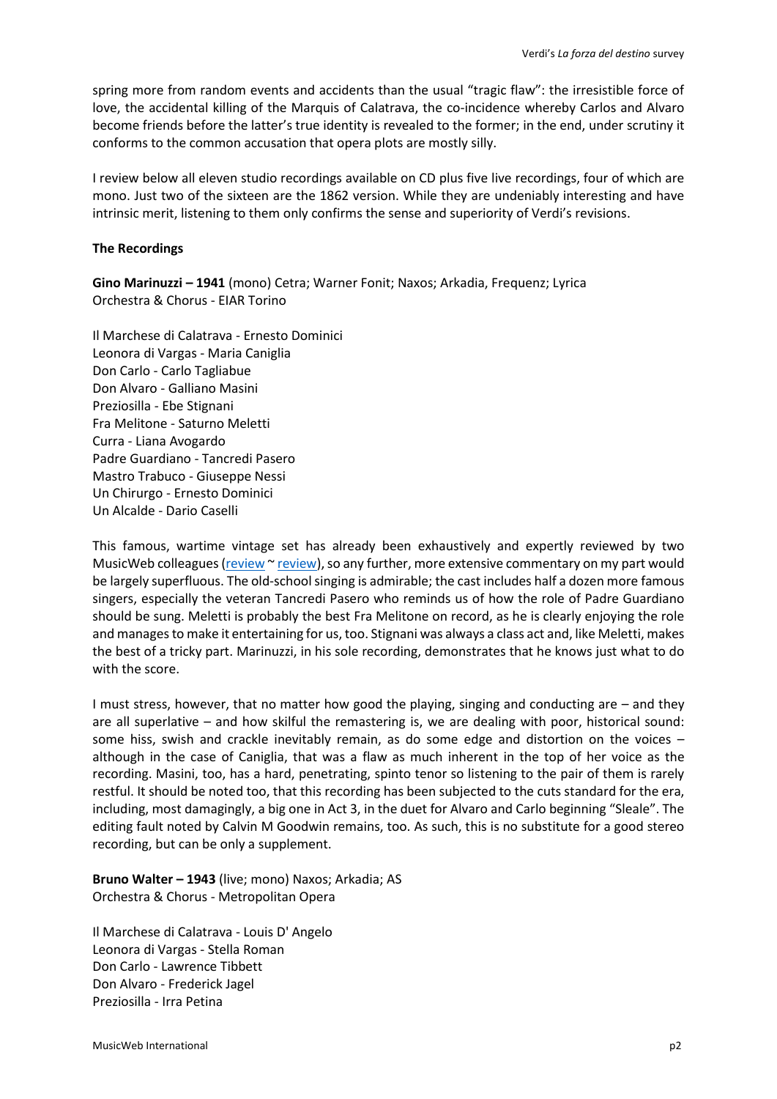spring more from random events and accidents than the usual "tragic flaw": the irresistible force of love, the accidental killing of the Marquis of Calatrava, the co-incidence whereby Carlos and Alvaro become friends before the latter's true identity is revealed to the former; in the end, under scrutiny it conforms to the common accusation that opera plots are mostly silly.

I review below all eleven studio recordings available on CD plus five live recordings, four of which are mono. Just two of the sixteen are the 1862 version. While they are undeniably interesting and have intrinsic merit, listening to them only confirms the sense and superiority of Verdi's revisions.

### **The Recordings**

**Gino Marinuzzi – 1941** (mono) Cetra; Warner Fonit; Naxos; Arkadia, Frequenz; Lyrica Orchestra & Chorus - EIAR Torino

Il Marchese di Calatrava - Ernesto Dominici Leonora di Vargas - Maria Caniglia Don Carlo - Carlo Tagliabue Don Alvaro - Galliano Masini Preziosilla - Ebe Stignani Fra Melitone - Saturno Meletti Curra - Liana Avogardo Padre Guardiano - Tancredi Pasero Mastro Trabuco - Giuseppe Nessi Un Chirurgo - Ernesto Dominici Un Alcalde - Dario Caselli

This famous, wartime vintage set has already been exhaustively and expertly reviewed by two MusicWeb colleagues [\(review](http://www.musicweb-international.com/classrev/2005/Aug05/verdi_forza_8573826525.htm) [~ review\)](http://www.musicweb-international.com/classrev/2002/Aug02/Verdi_forza.htm), so any further, more extensive commentary on my part would be largely superfluous. The old-school singing is admirable; the cast includes half a dozen more famous singers, especially the veteran Tancredi Pasero who reminds us of how the role of Padre Guardiano should be sung. Meletti is probably the best Fra Melitone on record, as he is clearly enjoying the role and manages to make it entertaining for us, too. Stignani was always a class act and, like Meletti, makes the best of a tricky part. Marinuzzi, in his sole recording, demonstrates that he knows just what to do with the score.

I must stress, however, that no matter how good the playing, singing and conducting are – and they are all superlative – and how skilful the remastering is, we are dealing with poor, historical sound: some hiss, swish and crackle inevitably remain, as do some edge and distortion on the voices – although in the case of Caniglia, that was a flaw as much inherent in the top of her voice as the recording. Masini, too, has a hard, penetrating, spinto tenor so listening to the pair of them is rarely restful. It should be noted too, that this recording has been subjected to the cuts standard for the era, including, most damagingly, a big one in Act 3, in the duet for Alvaro and Carlo beginning "Sleale". The editing fault noted by Calvin M Goodwin remains, too. As such, this is no substitute for a good stereo recording, but can be only a supplement.

**Bruno Walter – 1943** (live; mono) Naxos; Arkadia; AS Orchestra & Chorus - Metropolitan Opera

Il Marchese di Calatrava - Louis D' Angelo Leonora di Vargas - Stella Roman Don Carlo - Lawrence Tibbett Don Alvaro - Frederick Jagel Preziosilla - Irra Petina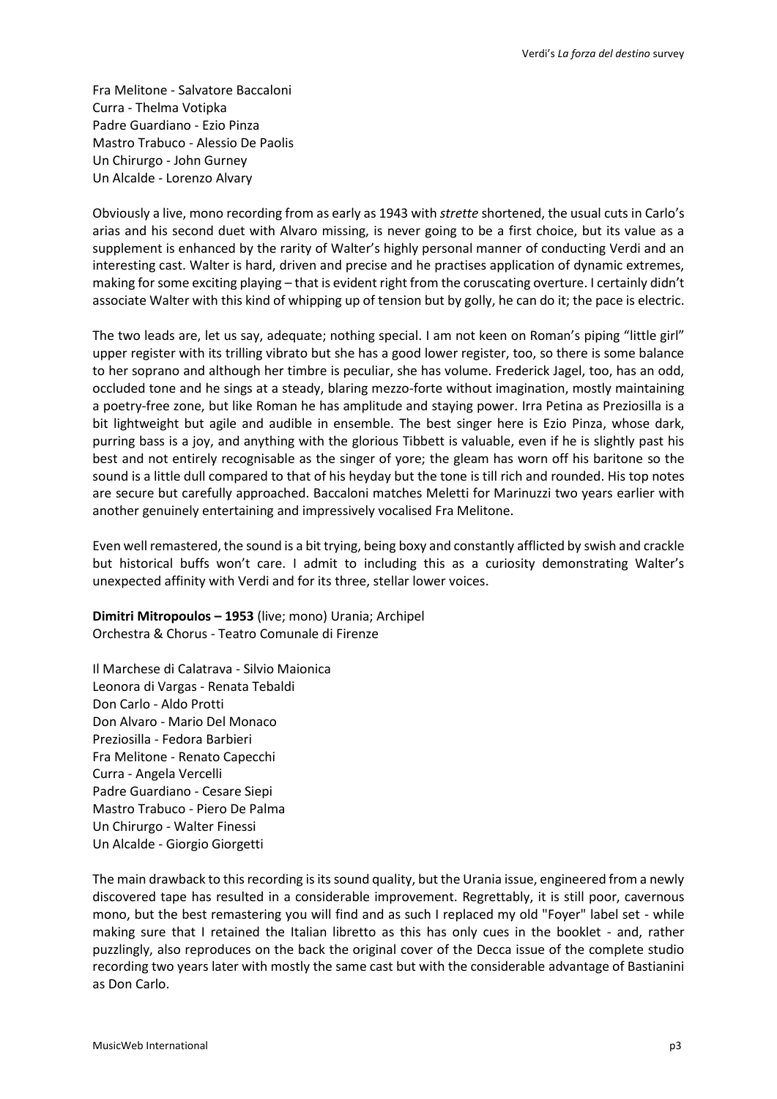Fra Melitone - Salvatore Baccaloni Curra - Thelma Votipka Padre Guardiano - Ezio Pinza Mastro Trabuco - Alessio De Paolis Un Chirurgo - John Gurney Un Alcalde - Lorenzo Alvary

Obviously a live, mono recording from as early as 1943 with *strette* shortened, the usual cuts in Carlo's arias and his second duet with Alvaro missing, is never going to be a first choice, but its value as a supplement is enhanced by the rarity of Walter's highly personal manner of conducting Verdi and an interesting cast. Walter is hard, driven and precise and he practises application of dynamic extremes, making for some exciting playing – that is evident right from the coruscating overture. I certainly didn't associate Walter with this kind of whipping up of tension but by golly, he can do it; the pace is electric.

The two leads are, let us say, adequate; nothing special. I am not keen on Roman's piping "little girl" upper register with its trilling vibrato but she has a good lower register, too, so there is some balance to her soprano and although her timbre is peculiar, she has volume. Frederick Jagel, too, has an odd, occluded tone and he sings at a steady, blaring mezzo-forte without imagination, mostly maintaining a poetry-free zone, but like Roman he has amplitude and staying power. Irra Petina as Preziosilla is a bit lightweight but agile and audible in ensemble. The best singer here is Ezio Pinza, whose dark, purring bass is a joy, and anything with the glorious Tibbett is valuable, even if he is slightly past his best and not entirely recognisable as the singer of yore; the gleam has worn off his baritone so the sound is a little dull compared to that of his heyday but the tone is till rich and rounded. His top notes are secure but carefully approached. Baccaloni matches Meletti for Marinuzzi two years earlier with another genuinely entertaining and impressively vocalised Fra Melitone.

Even well remastered, the sound is a bit trying, being boxy and constantly afflicted by swish and crackle but historical buffs won't care. I admit to including this as a curiosity demonstrating Walter's unexpected affinity with Verdi and for its three, stellar lower voices.

**Dimitri Mitropoulos – 1953** (live; mono) Urania; Archipel Orchestra & Chorus - Teatro Comunale di Firenze

Il Marchese di Calatrava - Silvio Maionica Leonora di Vargas - Renata Tebaldi Don Carlo - Aldo Protti Don Alvaro - Mario Del Monaco Preziosilla - Fedora Barbieri Fra Melitone - Renato Capecchi Curra - Angela Vercelli Padre Guardiano - Cesare Siepi Mastro Trabuco - Piero De Palma Un Chirurgo - Walter Finessi Un Alcalde - Giorgio Giorgetti

The main drawback to this recording is its sound quality, but the Urania issue, engineered from a newly discovered tape has resulted in a considerable improvement. Regrettably, it is still poor, cavernous mono, but the best remastering you will find and as such I replaced my old "Foyer" label set - while making sure that I retained the Italian libretto as this has only cues in the booklet - and, rather puzzlingly, also reproduces on the back the original cover of the Decca issue of the complete studio recording two years later with mostly the same cast but with the considerable advantage of Bastianini as Don Carlo.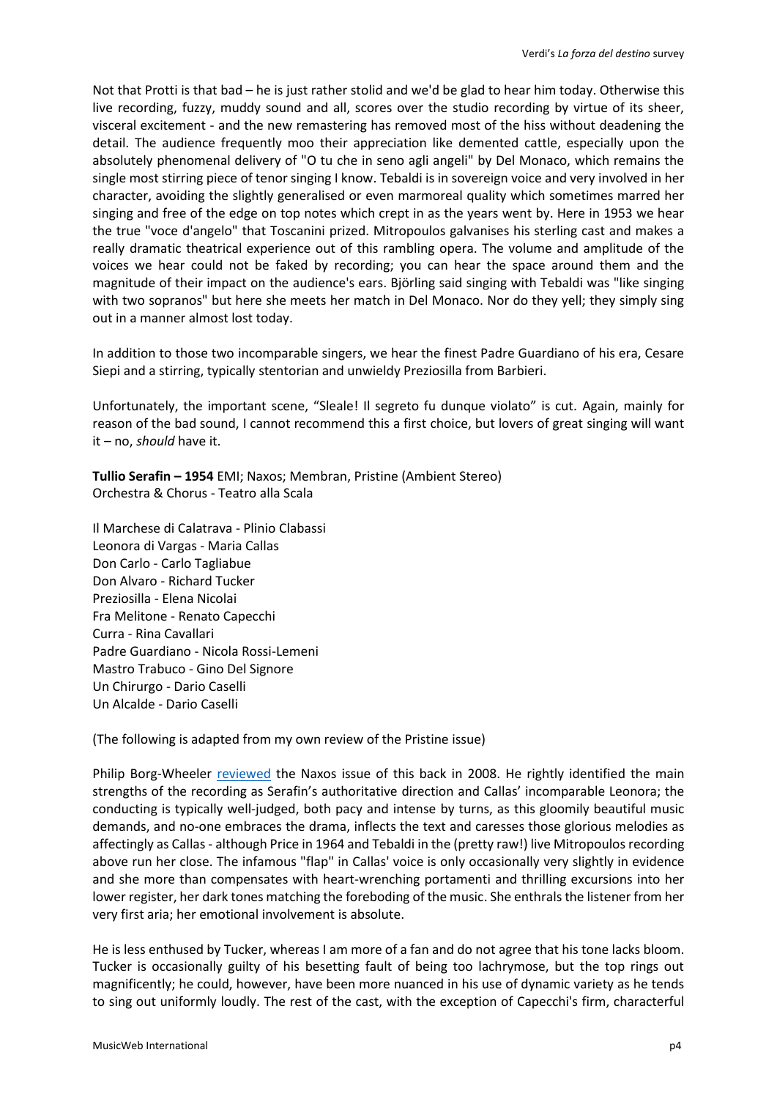Not that Protti is that bad – he is just rather stolid and we'd be glad to hear him today. Otherwise this live recording, fuzzy, muddy sound and all, scores over the studio recording by virtue of its sheer, visceral excitement - and the new remastering has removed most of the hiss without deadening the detail. The audience frequently moo their appreciation like demented cattle, especially upon the absolutely phenomenal delivery of "O tu che in seno agli angeli" by Del Monaco, which remains the single most stirring piece of tenor singing I know. Tebaldi is in sovereign voice and very involved in her character, avoiding the slightly generalised or even marmoreal quality which sometimes marred her singing and free of the edge on top notes which crept in as the years went by. Here in 1953 we hear the true "voce d'angelo" that Toscanini prized. Mitropoulos galvanises his sterling cast and makes a really dramatic theatrical experience out of this rambling opera. The volume and amplitude of the voices we hear could not be faked by recording; you can hear the space around them and the magnitude of their impact on the audience's ears. Björling said singing with Tebaldi was "like singing with two sopranos" but here she meets her match in Del Monaco. Nor do they yell; they simply sing out in a manner almost lost today.

In addition to those two incomparable singers, we hear the finest Padre Guardiano of his era, Cesare Siepi and a stirring, typically stentorian and unwieldy Preziosilla from Barbieri.

Unfortunately, the important scene, "Sleale! Il segreto fu dunque violato" is cut. Again, mainly for reason of the bad sound, I cannot recommend this a first choice, but lovers of great singing will want it – no, *should* have it.

**Tullio Serafin – 1954** EMI; Naxos; Membran, Pristine (Ambient Stereo) Orchestra & Chorus - Teatro alla Scala

Il Marchese di Calatrava - Plinio Clabassi Leonora di Vargas - Maria Callas Don Carlo - Carlo Tagliabue Don Alvaro - Richard Tucker Preziosilla - Elena Nicolai Fra Melitone - Renato Capecchi Curra - Rina Cavallari Padre Guardiano - Nicola Rossi-Lemeni Mastro Trabuco - Gino Del Signore Un Chirurgo - Dario Caselli Un Alcalde - Dario Caselli

(The following is adapted from my own review of the Pristine issue)

Philip Borg-Wheeler [reviewed](http://www.musicweb-international.com/classrev/2008/Nov08/Verdi_Forza_Callas_811132224.htm) the Naxos issue of this back in 2008. He rightly identified the main strengths of the recording as Serafin's authoritative direction and Callas' incomparable Leonora; the conducting is typically well-judged, both pacy and intense by turns, as this gloomily beautiful music demands, and no-one embraces the drama, inflects the text and caresses those glorious melodies as affectingly as Callas - although Price in 1964 and Tebaldi in the (pretty raw!) live Mitropoulos recording above run her close. The infamous "flap" in Callas' voice is only occasionally very slightly in evidence and she more than compensates with heart-wrenching portamenti and thrilling excursions into her lower register, her dark tones matching the foreboding of the music. She enthrals the listener from her very first aria; her emotional involvement is absolute.

He is less enthused by Tucker, whereas I am more of a fan and do not agree that his tone lacks bloom. Tucker is occasionally guilty of his besetting fault of being too lachrymose, but the top rings out magnificently; he could, however, have been more nuanced in his use of dynamic variety as he tends to sing out uniformly loudly. The rest of the cast, with the exception of Capecchi's firm, characterful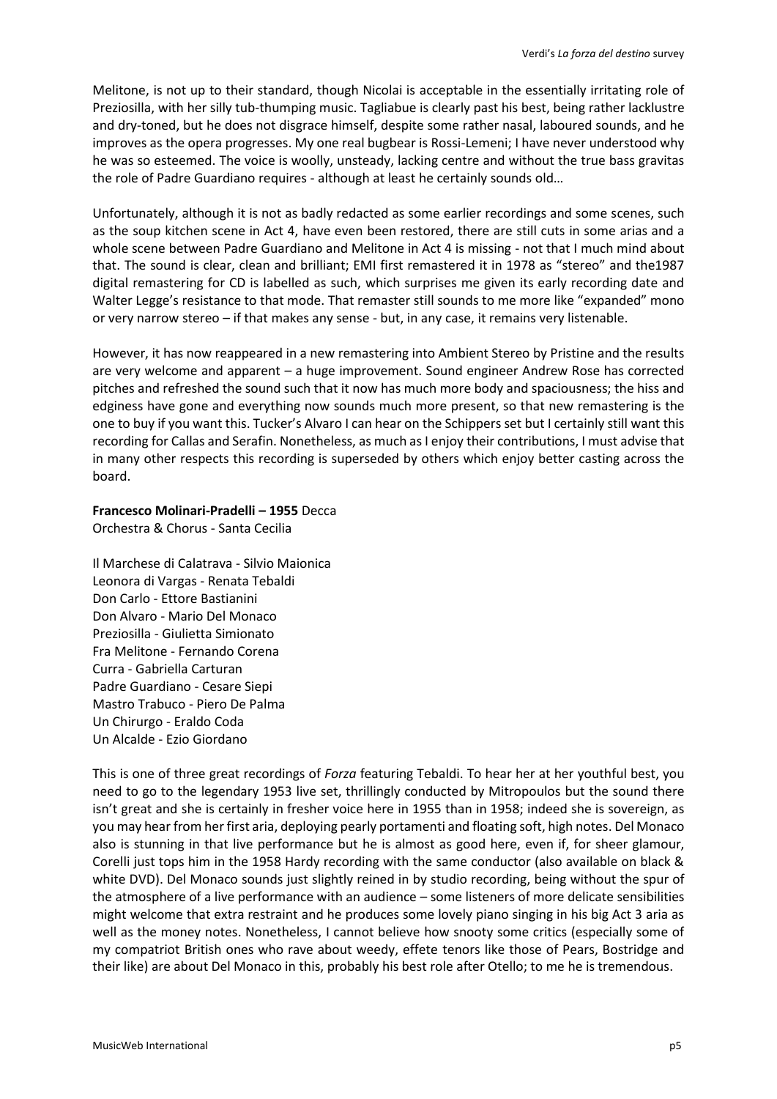Melitone, is not up to their standard, though Nicolai is acceptable in the essentially irritating role of Preziosilla, with her silly tub-thumping music. Tagliabue is clearly past his best, being rather lacklustre and dry-toned, but he does not disgrace himself, despite some rather nasal, laboured sounds, and he improves as the opera progresses. My one real bugbear is Rossi-Lemeni; I have never understood why he was so esteemed. The voice is woolly, unsteady, lacking centre and without the true bass gravitas the role of Padre Guardiano requires - although at least he certainly sounds old…

Unfortunately, although it is not as badly redacted as some earlier recordings and some scenes, such as the soup kitchen scene in Act 4, have even been restored, there are still cuts in some arias and a whole scene between Padre Guardiano and Melitone in Act 4 is missing - not that I much mind about that. The sound is clear, clean and brilliant; EMI first remastered it in 1978 as "stereo" and the1987 digital remastering for CD is labelled as such, which surprises me given its early recording date and Walter Legge's resistance to that mode. That remaster still sounds to me more like "expanded" mono or very narrow stereo – if that makes any sense - but, in any case, it remains very listenable.

However, it has now reappeared in a new remastering into Ambient Stereo by Pristine and the results are very welcome and apparent – a huge improvement. Sound engineer Andrew Rose has corrected pitches and refreshed the sound such that it now has much more body and spaciousness; the hiss and edginess have gone and everything now sounds much more present, so that new remastering is the one to buy if you want this. Tucker's Alvaro I can hear on the Schippers set but I certainly still want this recording for Callas and Serafin. Nonetheless, as much as I enjoy their contributions, I must advise that in many other respects this recording is superseded by others which enjoy better casting across the board.

#### **Francesco Molinari-Pradelli – 1955** Decca Orchestra & Chorus - Santa Cecilia

Il Marchese di Calatrava - Silvio Maionica Leonora di Vargas - Renata Tebaldi Don Carlo - Ettore Bastianini Don Alvaro - Mario Del Monaco Preziosilla - Giulietta Simionato Fra Melitone - Fernando Corena Curra - Gabriella Carturan Padre Guardiano - Cesare Siepi Mastro Trabuco - Piero De Palma Un Chirurgo - Eraldo Coda Un Alcalde - Ezio Giordano

This is one of three great recordings of *Forza* featuring Tebaldi. To hear her at her youthful best, you need to go to the legendary 1953 live set, thrillingly conducted by Mitropoulos but the sound there isn't great and she is certainly in fresher voice here in 1955 than in 1958; indeed she is sovereign, as you may hear from her first aria, deploying pearly portamenti and floating soft, high notes. Del Monaco also is stunning in that live performance but he is almost as good here, even if, for sheer glamour, Corelli just tops him in the 1958 Hardy recording with the same conductor (also available on black & white DVD). Del Monaco sounds just slightly reined in by studio recording, being without the spur of the atmosphere of a live performance with an audience – some listeners of more delicate sensibilities might welcome that extra restraint and he produces some lovely piano singing in his big Act 3 aria as well as the money notes. Nonetheless, I cannot believe how snooty some critics (especially some of my compatriot British ones who rave about weedy, effete tenors like those of Pears, Bostridge and their like) are about Del Monaco in this, probably his best role after Otello; to me he is tremendous.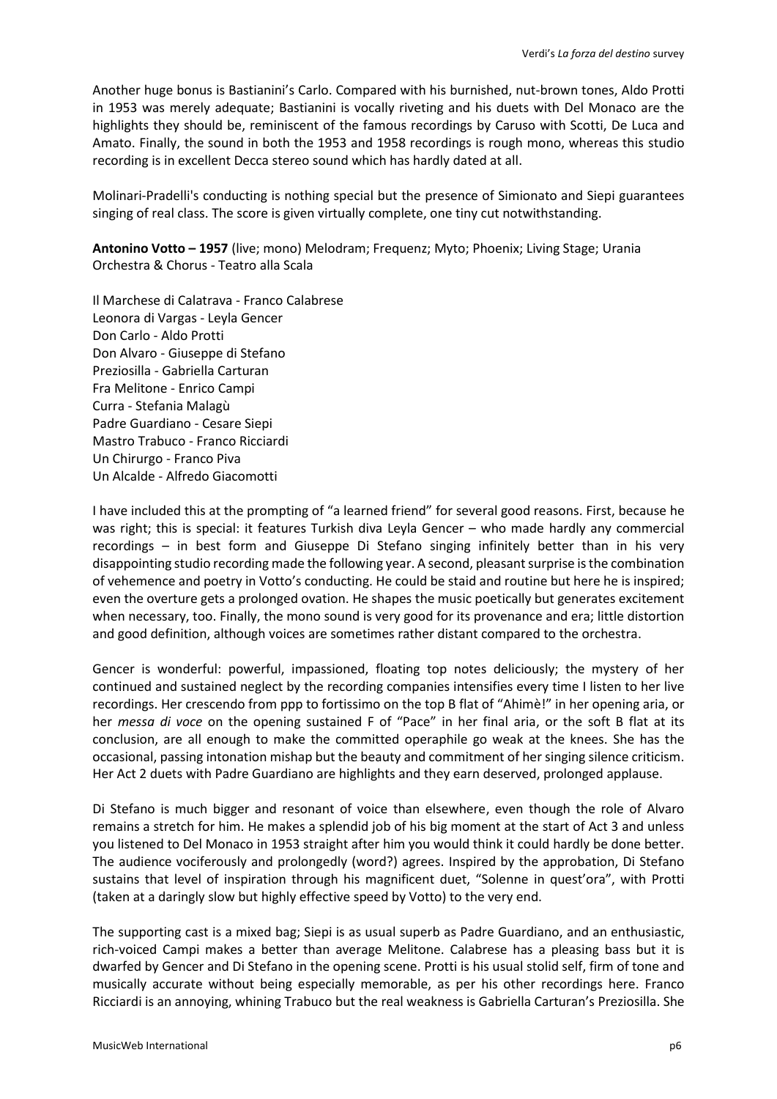Another huge bonus is Bastianini's Carlo. Compared with his burnished, nut-brown tones, Aldo Protti in 1953 was merely adequate; Bastianini is vocally riveting and his duets with Del Monaco are the highlights they should be, reminiscent of the famous recordings by Caruso with Scotti, De Luca and Amato. Finally, the sound in both the 1953 and 1958 recordings is rough mono, whereas this studio recording is in excellent Decca stereo sound which has hardly dated at all.

Molinari-Pradelli's conducting is nothing special but the presence of Simionato and Siepi guarantees singing of real class. The score is given virtually complete, one tiny cut notwithstanding.

**Antonino Votto – 1957** (live; mono) Melodram; Frequenz; Myto; Phoenix; Living Stage; Urania Orchestra & Chorus - Teatro alla Scala

Il Marchese di Calatrava - Franco Calabrese Leonora di Vargas - Leyla Gencer Don Carlo - Aldo Protti Don Alvaro - Giuseppe di Stefano Preziosilla - Gabriella Carturan Fra Melitone - Enrico Campi Curra - Stefania Malagù Padre Guardiano - Cesare Siepi Mastro Trabuco - Franco Ricciardi Un Chirurgo - Franco Piva Un Alcalde - Alfredo Giacomotti

I have included this at the prompting of "a learned friend" for several good reasons. First, because he was right; this is special: it features Turkish diva Leyla Gencer – who made hardly any commercial recordings – in best form and Giuseppe Di Stefano singing infinitely better than in his very disappointing studio recording made the following year. A second, pleasant surprise is the combination of vehemence and poetry in Votto's conducting. He could be staid and routine but here he is inspired; even the overture gets a prolonged ovation. He shapes the music poetically but generates excitement when necessary, too. Finally, the mono sound is very good for its provenance and era; little distortion and good definition, although voices are sometimes rather distant compared to the orchestra.

Gencer is wonderful: powerful, impassioned, floating top notes deliciously; the mystery of her continued and sustained neglect by the recording companies intensifies every time I listen to her live recordings. Her crescendo from ppp to fortissimo on the top B flat of "Ahimè!" in her opening aria, or her *messa di voce* on the opening sustained F of "Pace" in her final aria, or the soft B flat at its conclusion, are all enough to make the committed operaphile go weak at the knees. She has the occasional, passing intonation mishap but the beauty and commitment of her singing silence criticism. Her Act 2 duets with Padre Guardiano are highlights and they earn deserved, prolonged applause.

Di Stefano is much bigger and resonant of voice than elsewhere, even though the role of Alvaro remains a stretch for him. He makes a splendid job of his big moment at the start of Act 3 and unless you listened to Del Monaco in 1953 straight after him you would think it could hardly be done better. The audience vociferously and prolongedly (word?) agrees. Inspired by the approbation, Di Stefano sustains that level of inspiration through his magnificent duet, "Solenne in quest'ora", with Protti (taken at a daringly slow but highly effective speed by Votto) to the very end.

The supporting cast is a mixed bag; Siepi is as usual superb as Padre Guardiano, and an enthusiastic, rich-voiced Campi makes a better than average Melitone. Calabrese has a pleasing bass but it is dwarfed by Gencer and Di Stefano in the opening scene. Protti is his usual stolid self, firm of tone and musically accurate without being especially memorable, as per his other recordings here. Franco Ricciardi is an annoying, whining Trabuco but the real weakness is Gabriella Carturan's Preziosilla. She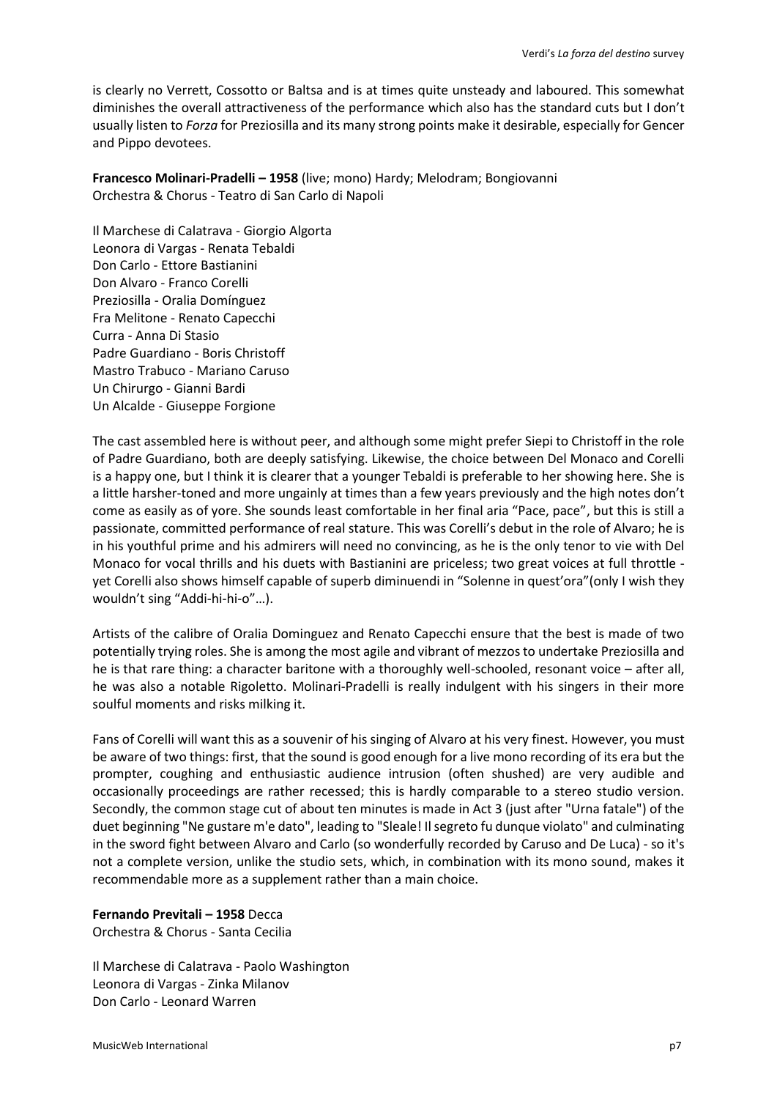is clearly no Verrett, Cossotto or Baltsa and is at times quite unsteady and laboured. This somewhat diminishes the overall attractiveness of the performance which also has the standard cuts but I don't usually listen to *Forza* for Preziosilla and its many strong points make it desirable, especially for Gencer and Pippo devotees.

**Francesco Molinari-Pradelli – 1958** (live; mono) Hardy; Melodram; Bongiovanni Orchestra & Chorus - Teatro di San Carlo di Napoli

Il Marchese di Calatrava - Giorgio Algorta Leonora di Vargas - Renata Tebaldi Don Carlo - Ettore Bastianini Don Alvaro - Franco Corelli Preziosilla - Oralia Domínguez Fra Melitone - Renato Capecchi Curra - Anna Di Stasio Padre Guardiano - Boris Christoff Mastro Trabuco - Mariano Caruso Un Chirurgo - Gianni Bardi Un Alcalde - Giuseppe Forgione

The cast assembled here is without peer, and although some might prefer Siepi to Christoff in the role of Padre Guardiano, both are deeply satisfying. Likewise, the choice between Del Monaco and Corelli is a happy one, but I think it is clearer that a younger Tebaldi is preferable to her showing here. She is a little harsher-toned and more ungainly at times than a few years previously and the high notes don't come as easily as of yore. She sounds least comfortable in her final aria "Pace, pace", but this is still a passionate, committed performance of real stature. This was Corelli's debut in the role of Alvaro; he is in his youthful prime and his admirers will need no convincing, as he is the only tenor to vie with Del Monaco for vocal thrills and his duets with Bastianini are priceless; two great voices at full throttle yet Corelli also shows himself capable of superb diminuendi in "Solenne in quest'ora"(only I wish they wouldn't sing "Addi-hi-hi-o"…).

Artists of the calibre of Oralia Dominguez and Renato Capecchi ensure that the best is made of two potentially trying roles. She is among the most agile and vibrant of mezzos to undertake Preziosilla and he is that rare thing: a character baritone with a thoroughly well-schooled, resonant voice – after all, he was also a notable Rigoletto. Molinari-Pradelli is really indulgent with his singers in their more soulful moments and risks milking it.

Fans of Corelli will want this as a souvenir of his singing of Alvaro at his very finest. However, you must be aware of two things: first, that the sound is good enough for a live mono recording of its era but the prompter, coughing and enthusiastic audience intrusion (often shushed) are very audible and occasionally proceedings are rather recessed; this is hardly comparable to a stereo studio version. Secondly, the common stage cut of about ten minutes is made in Act 3 (just after "Urna fatale") of the duet beginning "Ne gustare m'e dato", leading to "Sleale! Il segreto fu dunque violato" and culminating in the sword fight between Alvaro and Carlo (so wonderfully recorded by Caruso and De Luca) - so it's not a complete version, unlike the studio sets, which, in combination with its mono sound, makes it recommendable more as a supplement rather than a main choice.

# **Fernando Previtali – 1958** Decca

Orchestra & Chorus - Santa Cecilia

Il Marchese di Calatrava - Paolo Washington Leonora di Vargas - Zinka Milanov Don Carlo - Leonard Warren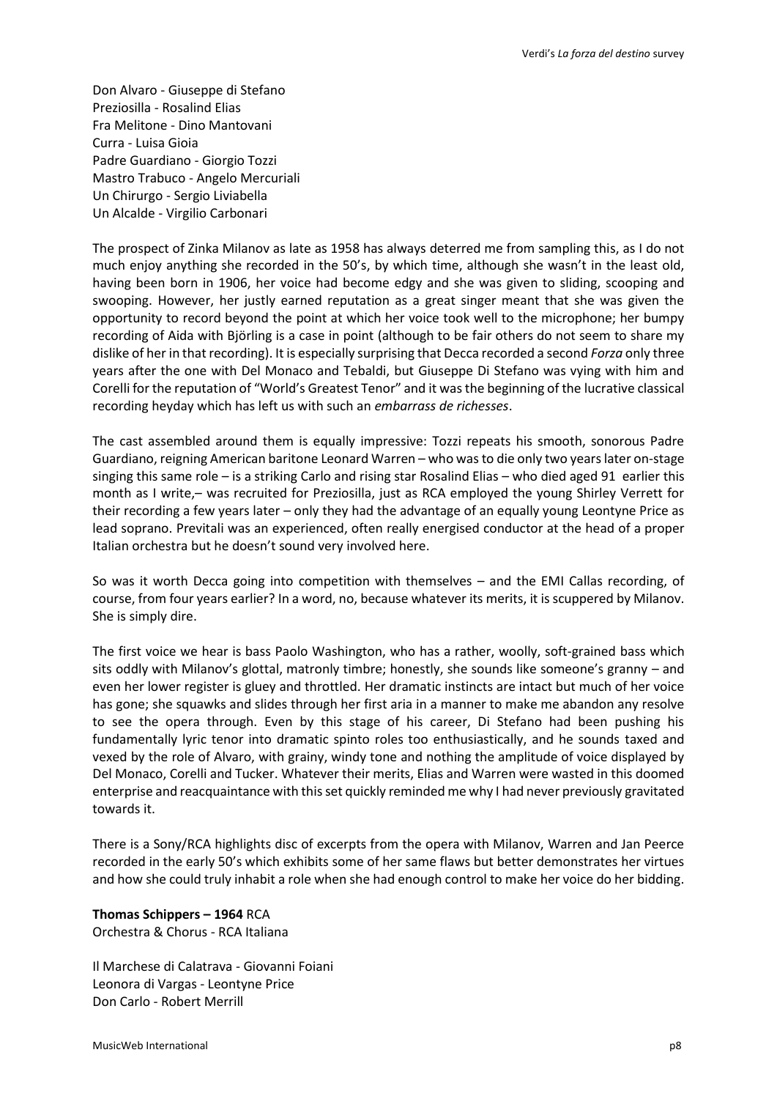Don Alvaro - Giuseppe di Stefano Preziosilla - Rosalind Elias Fra Melitone - Dino Mantovani Curra - Luisa Gioia Padre Guardiano - Giorgio Tozzi Mastro Trabuco - Angelo Mercuriali Un Chirurgo - Sergio Liviabella Un Alcalde - Virgilio Carbonari

The prospect of Zinka Milanov as late as 1958 has always deterred me from sampling this, as I do not much enjoy anything she recorded in the 50's, by which time, although she wasn't in the least old, having been born in 1906, her voice had become edgy and she was given to sliding, scooping and swooping. However, her justly earned reputation as a great singer meant that she was given the opportunity to record beyond the point at which her voice took well to the microphone; her bumpy recording of Aida with Björling is a case in point (although to be fair others do not seem to share my dislike of her in that recording). It is especially surprising that Decca recorded a second *Forza* only three years after the one with Del Monaco and Tebaldi, but Giuseppe Di Stefano was vying with him and Corelli for the reputation of "World's Greatest Tenor" and it was the beginning of the lucrative classical recording heyday which has left us with such an *embarrass de richesses*.

The cast assembled around them is equally impressive: Tozzi repeats his smooth, sonorous Padre Guardiano, reigning American baritone Leonard Warren – who was to die only two years later on-stage singing this same role – is a striking Carlo and rising star Rosalind Elias – who died aged 91 earlier this month as I write,– was recruited for Preziosilla, just as RCA employed the young Shirley Verrett for their recording a few years later – only they had the advantage of an equally young Leontyne Price as lead soprano. Previtali was an experienced, often really energised conductor at the head of a proper Italian orchestra but he doesn't sound very involved here.

So was it worth Decca going into competition with themselves – and the EMI Callas recording, of course, from four years earlier? In a word, no, because whatever its merits, it is scuppered by Milanov. She is simply dire.

The first voice we hear is bass Paolo Washington, who has a rather, woolly, soft-grained bass which sits oddly with Milanov's glottal, matronly timbre; honestly, she sounds like someone's granny – and even her lower register is gluey and throttled. Her dramatic instincts are intact but much of her voice has gone; she squawks and slides through her first aria in a manner to make me abandon any resolve to see the opera through. Even by this stage of his career, Di Stefano had been pushing his fundamentally lyric tenor into dramatic spinto roles too enthusiastically, and he sounds taxed and vexed by the role of Alvaro, with grainy, windy tone and nothing the amplitude of voice displayed by Del Monaco, Corelli and Tucker. Whatever their merits, Elias and Warren were wasted in this doomed enterprise and reacquaintance with this set quickly reminded me why I had never previously gravitated towards it.

There is a Sony/RCA highlights disc of excerpts from the opera with Milanov, Warren and Jan Peerce recorded in the early 50's which exhibits some of her same flaws but better demonstrates her virtues and how she could truly inhabit a role when she had enough control to make her voice do her bidding.

**Thomas Schippers – 1964** RCA Orchestra & Chorus - RCA Italiana

Il Marchese di Calatrava - Giovanni Foiani Leonora di Vargas - Leontyne Price Don Carlo - Robert Merrill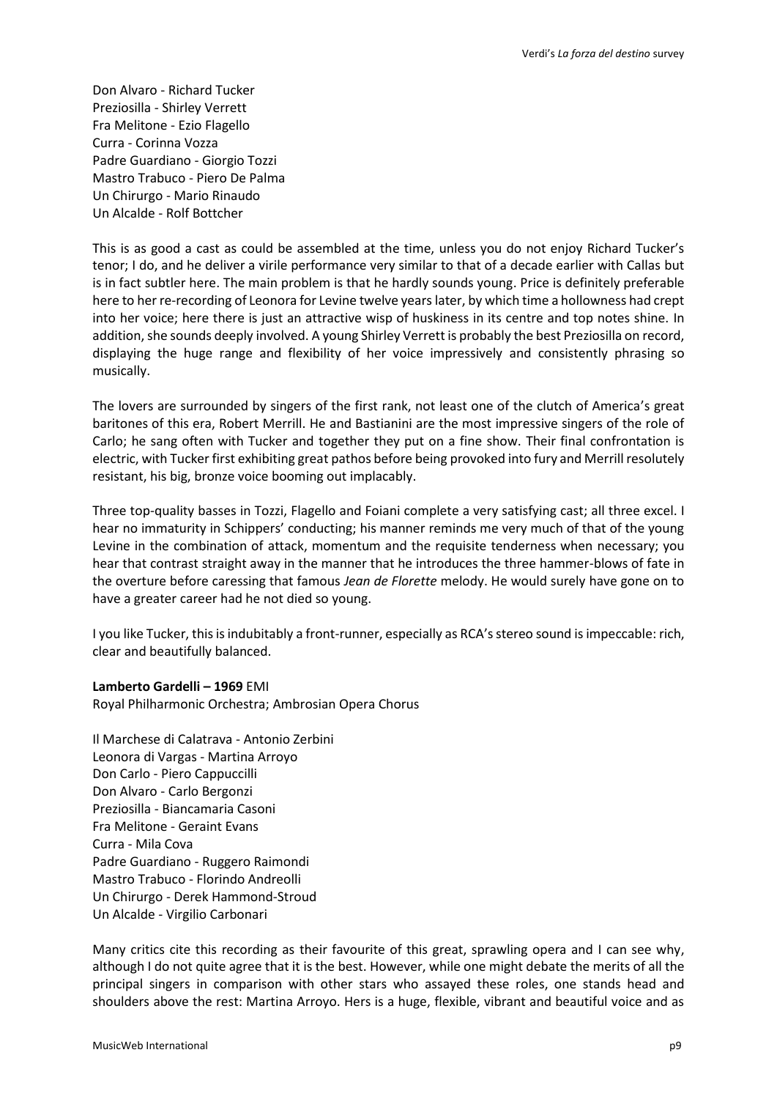Don Alvaro - Richard Tucker Preziosilla - Shirley Verrett Fra Melitone - Ezio Flagello Curra - Corinna Vozza Padre Guardiano - Giorgio Tozzi Mastro Trabuco - Piero De Palma Un Chirurgo - Mario Rinaudo Un Alcalde - Rolf Bottcher

This is as good a cast as could be assembled at the time, unless you do not enjoy Richard Tucker's tenor; I do, and he deliver a virile performance very similar to that of a decade earlier with Callas but is in fact subtler here. The main problem is that he hardly sounds young. Price is definitely preferable here to her re-recording of Leonora for Levine twelve years later, by which time a hollowness had crept into her voice; here there is just an attractive wisp of huskiness in its centre and top notes shine. In addition, she sounds deeply involved. A young Shirley Verrett is probably the best Preziosilla on record, displaying the huge range and flexibility of her voice impressively and consistently phrasing so musically.

The lovers are surrounded by singers of the first rank, not least one of the clutch of America's great baritones of this era, Robert Merrill. He and Bastianini are the most impressive singers of the role of Carlo; he sang often with Tucker and together they put on a fine show. Their final confrontation is electric, with Tucker first exhibiting great pathos before being provoked into fury and Merrill resolutely resistant, his big, bronze voice booming out implacably.

Three top-quality basses in Tozzi, Flagello and Foiani complete a very satisfying cast; all three excel. I hear no immaturity in Schippers' conducting; his manner reminds me very much of that of the young Levine in the combination of attack, momentum and the requisite tenderness when necessary; you hear that contrast straight away in the manner that he introduces the three hammer-blows of fate in the overture before caressing that famous *Jean de Florette* melody. He would surely have gone on to have a greater career had he not died so young.

I you like Tucker, this is indubitably a front-runner, especially as RCA's stereo sound is impeccable: rich, clear and beautifully balanced.

# **Lamberto Gardelli – 1969** EMI

Royal Philharmonic Orchestra; Ambrosian Opera Chorus

Il Marchese di Calatrava - Antonio Zerbini Leonora di Vargas - Martina Arroyo Don Carlo - Piero Cappuccilli Don Alvaro - Carlo Bergonzi Preziosilla - Biancamaria Casoni Fra Melitone - Geraint Evans Curra - Mila Cova Padre Guardiano - Ruggero Raimondi Mastro Trabuco - Florindo Andreolli Un Chirurgo - Derek Hammond-Stroud Un Alcalde - Virgilio Carbonari

Many critics cite this recording as their favourite of this great, sprawling opera and I can see why, although I do not quite agree that it is the best. However, while one might debate the merits of all the principal singers in comparison with other stars who assayed these roles, one stands head and shoulders above the rest: Martina Arroyo. Hers is a huge, flexible, vibrant and beautiful voice and as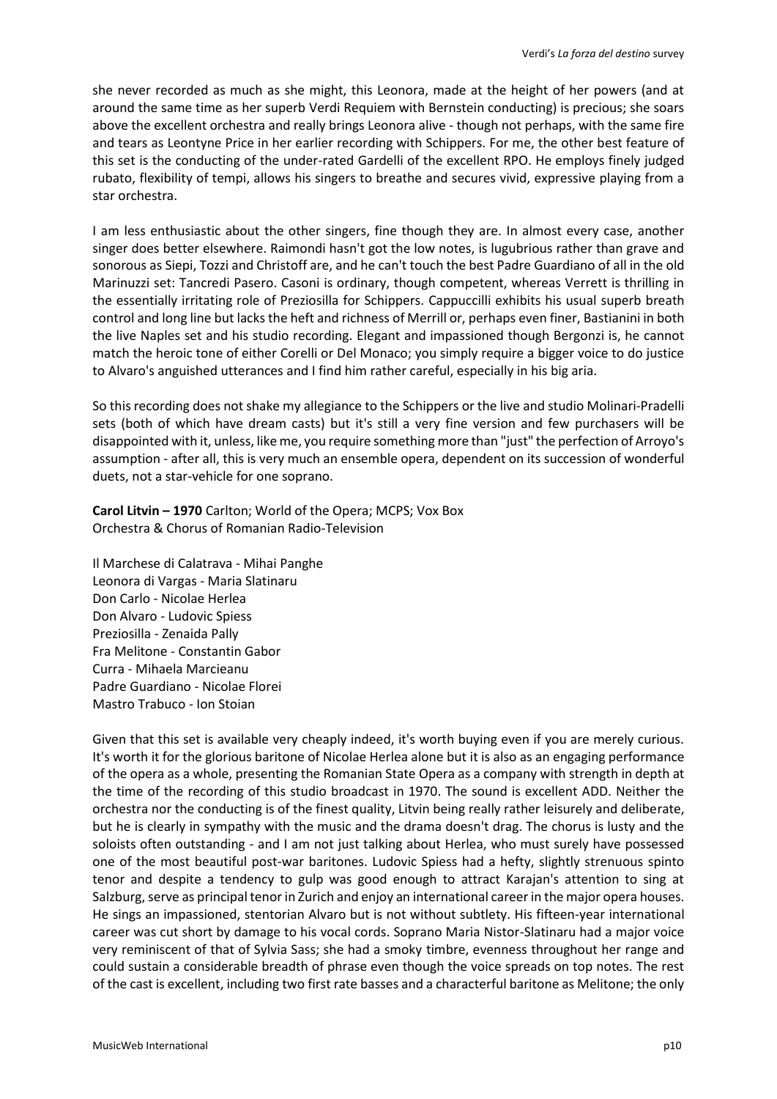she never recorded as much as she might, this Leonora, made at the height of her powers (and at around the same time as her superb Verdi Requiem with Bernstein conducting) is precious; she soars above the excellent orchestra and really brings Leonora alive - though not perhaps, with the same fire and tears as Leontyne Price in her earlier recording with Schippers. For me, the other best feature of this set is the conducting of the under-rated Gardelli of the excellent RPO. He employs finely judged rubato, flexibility of tempi, allows his singers to breathe and secures vivid, expressive playing from a star orchestra.

I am less enthusiastic about the other singers, fine though they are. In almost every case, another singer does better elsewhere. Raimondi hasn't got the low notes, is lugubrious rather than grave and sonorous as Siepi, Tozzi and Christoff are, and he can't touch the best Padre Guardiano of all in the old Marinuzzi set: Tancredi Pasero. Casoni is ordinary, though competent, whereas Verrett is thrilling in the essentially irritating role of Preziosilla for Schippers. Cappuccilli exhibits his usual superb breath control and long line but lacks the heft and richness of Merrill or, perhaps even finer, Bastianini in both the live Naples set and his studio recording. Elegant and impassioned though Bergonzi is, he cannot match the heroic tone of either Corelli or Del Monaco; you simply require a bigger voice to do justice to Alvaro's anguished utterances and I find him rather careful, especially in his big aria.

So this recording does not shake my allegiance to the Schippers or the live and studio Molinari-Pradelli sets (both of which have dream casts) but it's still a very fine version and few purchasers will be disappointed with it, unless, like me, you require something more than "just" the perfection of Arroyo's assumption - after all, this is very much an ensemble opera, dependent on its succession of wonderful duets, not a star-vehicle for one soprano.

**Carol Litvin – 1970** Carlton; World of the Opera; MCPS; Vox Box Orchestra & Chorus of Romanian Radio-Television

Il Marchese di Calatrava - Mihai Panghe Leonora di Vargas - Maria Slatinaru Don Carlo - Nicolae Herlea Don Alvaro - Ludovic Spiess Preziosilla - Zenaida Pally Fra Melitone - Constantin Gabor Curra - Mihaela Marcieanu Padre Guardiano - Nicolae Florei Mastro Trabuco - Ion Stoian

Given that this set is available very cheaply indeed, it's worth buying even if you are merely curious. It's worth it for the glorious baritone of Nicolae Herlea alone but it is also as an engaging performance of the opera as a whole, presenting the Romanian State Opera as a company with strength in depth at the time of the recording of this studio broadcast in 1970. The sound is excellent ADD. Neither the orchestra nor the conducting is of the finest quality, Litvin being really rather leisurely and deliberate, but he is clearly in sympathy with the music and the drama doesn't drag. The chorus is lusty and the soloists often outstanding - and I am not just talking about Herlea, who must surely have possessed one of the most beautiful post-war baritones. Ludovic Spiess had a hefty, slightly strenuous spinto tenor and despite a tendency to gulp was good enough to attract Karajan's attention to sing at Salzburg, serve as principal tenor in Zurich and enjoy an international career in the major opera houses. He sings an impassioned, stentorian Alvaro but is not without subtlety. His fifteen-year international career was cut short by damage to his vocal cords. Soprano Maria Nistor-Slatinaru had a major voice very reminiscent of that of Sylvia Sass; she had a smoky timbre, evenness throughout her range and could sustain a considerable breadth of phrase even though the voice spreads on top notes. The rest of the cast is excellent, including two first rate basses and a characterful baritone as Melitone; the only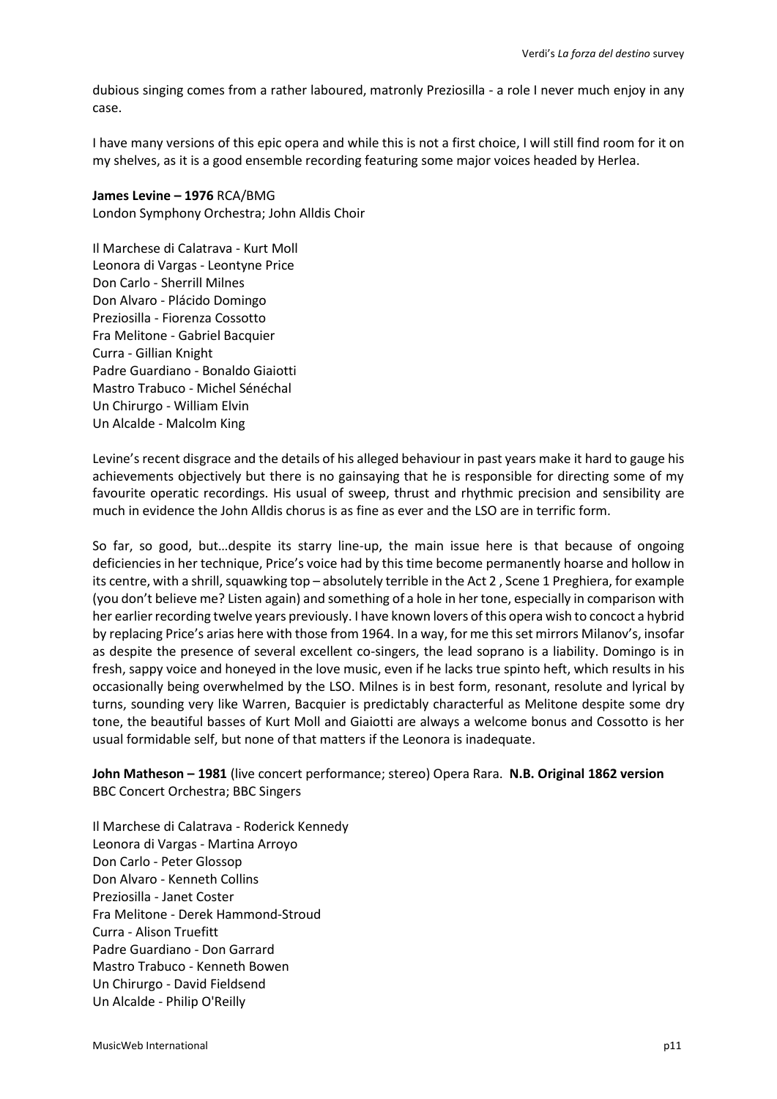dubious singing comes from a rather laboured, matronly Preziosilla - a role I never much enjoy in any case.

I have many versions of this epic opera and while this is not a first choice, I will still find room for it on my shelves, as it is a good ensemble recording featuring some major voices headed by Herlea.

### **James Levine – 1976** RCA/BMG

London Symphony Orchestra; John Alldis Choir

Il Marchese di Calatrava - Kurt Moll Leonora di Vargas - Leontyne Price Don Carlo - Sherrill Milnes Don Alvaro - Plácido Domingo Preziosilla - Fiorenza Cossotto Fra Melitone - Gabriel Bacquier Curra - Gillian Knight Padre Guardiano - Bonaldo Giaiotti Mastro Trabuco - Michel Sénéchal Un Chirurgo - William Elvin Un Alcalde - Malcolm King

Levine's recent disgrace and the details of his alleged behaviour in past years make it hard to gauge his achievements objectively but there is no gainsaying that he is responsible for directing some of my favourite operatic recordings. His usual of sweep, thrust and rhythmic precision and sensibility are much in evidence the John Alldis chorus is as fine as ever and the LSO are in terrific form.

So far, so good, but…despite its starry line-up, the main issue here is that because of ongoing deficiencies in her technique, Price's voice had by this time become permanently hoarse and hollow in its centre, with a shrill, squawking top – absolutely terrible in the Act 2 , Scene 1 Preghiera, for example (you don't believe me? Listen again) and something of a hole in her tone, especially in comparison with her earlier recording twelve years previously. I have known lovers of this opera wish to concoct a hybrid by replacing Price's arias here with those from 1964. In a way, for me this set mirrors Milanov's, insofar as despite the presence of several excellent co-singers, the lead soprano is a liability. Domingo is in fresh, sappy voice and honeyed in the love music, even if he lacks true spinto heft, which results in his occasionally being overwhelmed by the LSO. Milnes is in best form, resonant, resolute and lyrical by turns, sounding very like Warren, Bacquier is predictably characterful as Melitone despite some dry tone, the beautiful basses of Kurt Moll and Giaiotti are always a welcome bonus and Cossotto is her usual formidable self, but none of that matters if the Leonora is inadequate.

**John Matheson – 1981** (live concert performance; stereo) Opera Rara. **N.B. Original 1862 version** BBC Concert Orchestra; BBC Singers

Il Marchese di Calatrava - Roderick Kennedy Leonora di Vargas - Martina Arroyo Don Carlo - Peter Glossop Don Alvaro - Kenneth Collins Preziosilla - Janet Coster Fra Melitone - Derek Hammond-Stroud Curra - Alison Truefitt Padre Guardiano - Don Garrard Mastro Trabuco - Kenneth Bowen Un Chirurgo - David Fieldsend Un Alcalde - Philip O'Reilly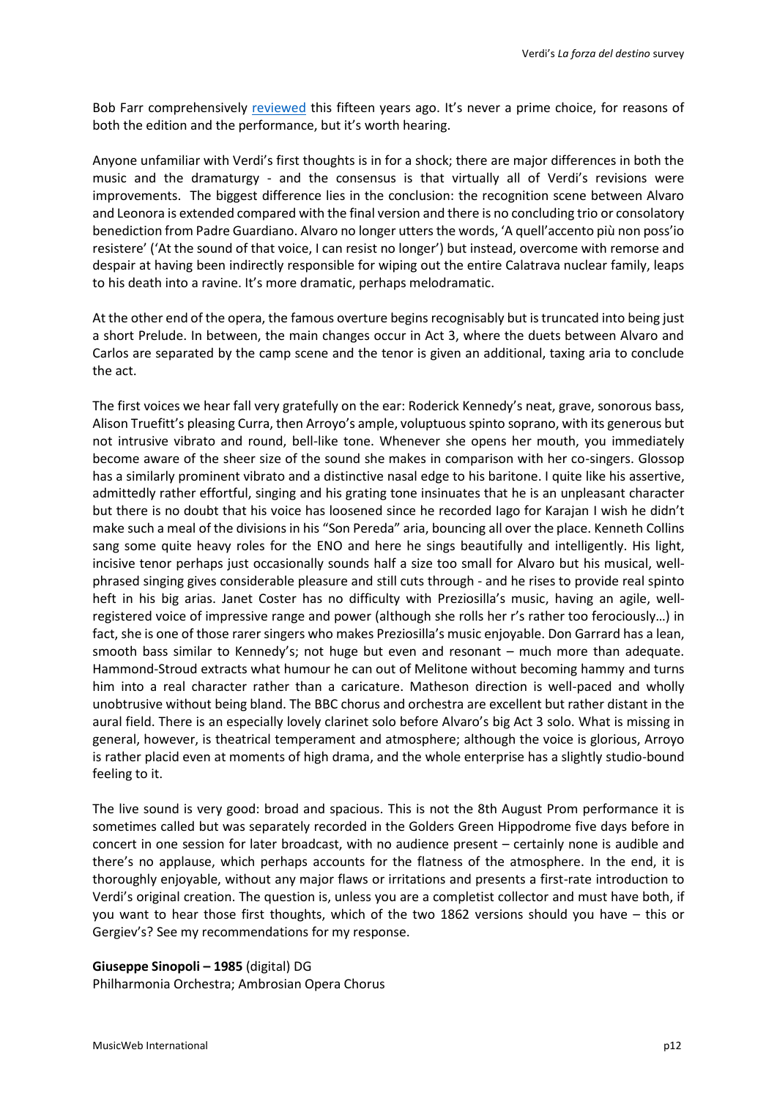Bob Farr comprehensively [reviewed](http://www.musicweb-international.com/classrev/2005/June05/Verdi_forza_ORCV304.htm) this fifteen years ago. It's never a prime choice, for reasons of both the edition and the performance, but it's worth hearing.

Anyone unfamiliar with Verdi's first thoughts is in for a shock; there are major differences in both the music and the dramaturgy - and the consensus is that virtually all of Verdi's revisions were improvements. The biggest difference lies in the conclusion: the recognition scene between Alvaro and Leonora is extended compared with the final version and there is no concluding trio or consolatory benediction from Padre Guardiano. Alvaro no longer utters the words, 'A quell'accento più non poss'io resistere' ('At the sound of that voice, I can resist no longer') but instead, overcome with remorse and despair at having been indirectly responsible for wiping out the entire Calatrava nuclear family, leaps to his death into a ravine. It's more dramatic, perhaps melodramatic.

At the other end of the opera, the famous overture begins recognisably but is truncated into being just a short Prelude. In between, the main changes occur in Act 3, where the duets between Alvaro and Carlos are separated by the camp scene and the tenor is given an additional, taxing aria to conclude the act.

The first voices we hear fall very gratefully on the ear: Roderick Kennedy's neat, grave, sonorous bass, Alison Truefitt's pleasing Curra, then Arroyo's ample, voluptuous spinto soprano, with its generous but not intrusive vibrato and round, bell-like tone. Whenever she opens her mouth, you immediately become aware of the sheer size of the sound she makes in comparison with her co-singers. Glossop has a similarly prominent vibrato and a distinctive nasal edge to his baritone. I quite like his assertive, admittedly rather effortful, singing and his grating tone insinuates that he is an unpleasant character but there is no doubt that his voice has loosened since he recorded Iago for Karajan I wish he didn't make such a meal of the divisions in his "Son Pereda" aria, bouncing all over the place. Kenneth Collins sang some quite heavy roles for the ENO and here he sings beautifully and intelligently. His light, incisive tenor perhaps just occasionally sounds half a size too small for Alvaro but his musical, wellphrased singing gives considerable pleasure and still cuts through - and he rises to provide real spinto heft in his big arias. Janet Coster has no difficulty with Preziosilla's music, having an agile, wellregistered voice of impressive range and power (although she rolls her r's rather too ferociously…) in fact, she is one of those rarer singers who makes Preziosilla's music enjoyable. Don Garrard has a lean, smooth bass similar to Kennedy's; not huge but even and resonant – much more than adequate. Hammond-Stroud extracts what humour he can out of Melitone without becoming hammy and turns him into a real character rather than a caricature. Matheson direction is well-paced and wholly unobtrusive without being bland. The BBC chorus and orchestra are excellent but rather distant in the aural field. There is an especially lovely clarinet solo before Alvaro's big Act 3 solo. What is missing in general, however, is theatrical temperament and atmosphere; although the voice is glorious, Arroyo is rather placid even at moments of high drama, and the whole enterprise has a slightly studio-bound feeling to it.

The live sound is very good: broad and spacious. This is not the 8th August Prom performance it is sometimes called but was separately recorded in the Golders Green Hippodrome five days before in concert in one session for later broadcast, with no audience present – certainly none is audible and there's no applause, which perhaps accounts for the flatness of the atmosphere. In the end, it is thoroughly enjoyable, without any major flaws or irritations and presents a first-rate introduction to Verdi's original creation. The question is, unless you are a completist collector and must have both, if you want to hear those first thoughts, which of the two 1862 versions should you have – this or Gergiev's? See my recommendations for my response.

#### **Giuseppe Sinopoli – 1985** (digital) DG

Philharmonia Orchestra; Ambrosian Opera Chorus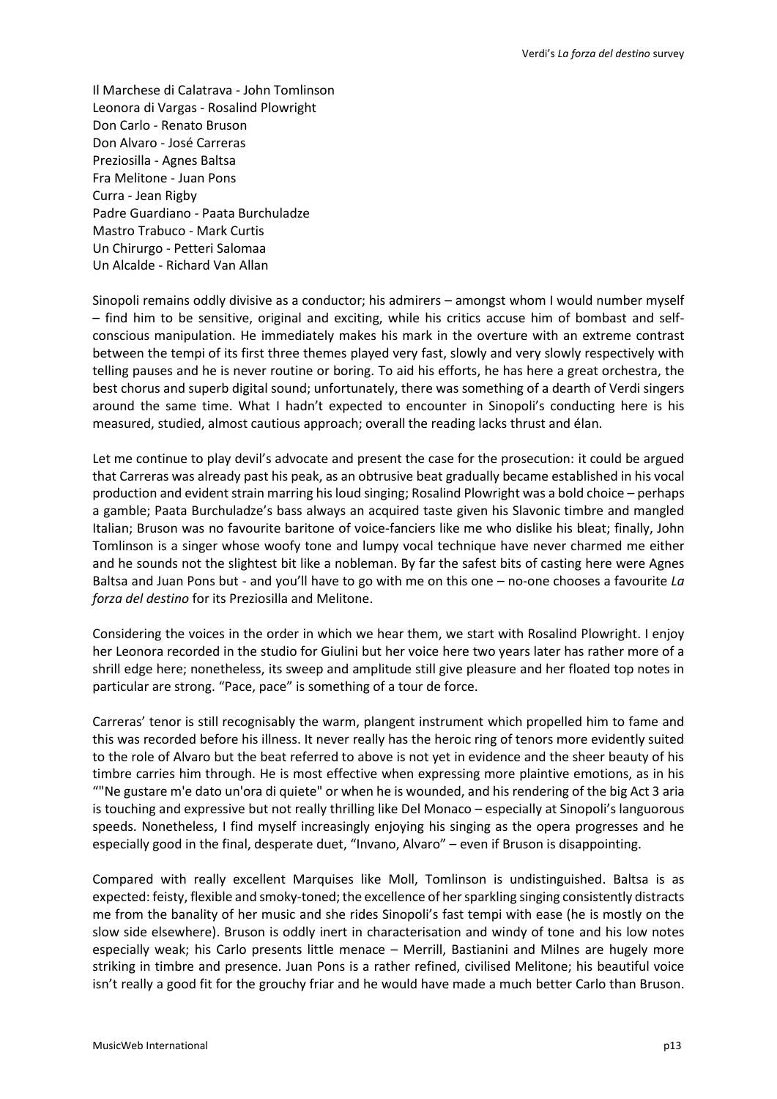Il Marchese di Calatrava - John Tomlinson Leonora di Vargas - Rosalind Plowright Don Carlo - Renato Bruson Don Alvaro - José Carreras Preziosilla - Agnes Baltsa Fra Melitone - Juan Pons Curra - Jean Rigby Padre Guardiano - Paata Burchuladze Mastro Trabuco - Mark Curtis Un Chirurgo - Petteri Salomaa Un Alcalde - Richard Van Allan

Sinopoli remains oddly divisive as a conductor; his admirers – amongst whom I would number myself – find him to be sensitive, original and exciting, while his critics accuse him of bombast and selfconscious manipulation. He immediately makes his mark in the overture with an extreme contrast between the tempi of its first three themes played very fast, slowly and very slowly respectively with telling pauses and he is never routine or boring. To aid his efforts, he has here a great orchestra, the best chorus and superb digital sound; unfortunately, there was something of a dearth of Verdi singers around the same time. What I hadn't expected to encounter in Sinopoli's conducting here is his measured, studied, almost cautious approach; overall the reading lacks thrust and élan.

Let me continue to play devil's advocate and present the case for the prosecution: it could be argued that Carreras was already past his peak, as an obtrusive beat gradually became established in his vocal production and evident strain marring his loud singing; Rosalind Plowright was a bold choice – perhaps a gamble; Paata Burchuladze's bass always an acquired taste given his Slavonic timbre and mangled Italian; Bruson was no favourite baritone of voice-fanciers like me who dislike his bleat; finally, John Tomlinson is a singer whose woofy tone and lumpy vocal technique have never charmed me either and he sounds not the slightest bit like a nobleman. By far the safest bits of casting here were Agnes Baltsa and Juan Pons but - and you'll have to go with me on this one – no-one chooses a favourite *La forza del destino* for its Preziosilla and Melitone.

Considering the voices in the order in which we hear them, we start with Rosalind Plowright. I enjoy her Leonora recorded in the studio for Giulini but her voice here two years later has rather more of a shrill edge here; nonetheless, its sweep and amplitude still give pleasure and her floated top notes in particular are strong. "Pace, pace" is something of a tour de force.

Carreras' tenor is still recognisably the warm, plangent instrument which propelled him to fame and this was recorded before his illness. It never really has the heroic ring of tenors more evidently suited to the role of Alvaro but the beat referred to above is not yet in evidence and the sheer beauty of his timbre carries him through. He is most effective when expressing more plaintive emotions, as in his ""Ne gustare m'e dato un'ora di quiete" or when he is wounded, and his rendering of the big Act 3 aria is touching and expressive but not really thrilling like Del Monaco – especially at Sinopoli's languorous speeds. Nonetheless, I find myself increasingly enjoying his singing as the opera progresses and he especially good in the final, desperate duet, "Invano, Alvaro" – even if Bruson is disappointing.

Compared with really excellent Marquises like Moll, Tomlinson is undistinguished. Baltsa is as expected: feisty, flexible and smoky-toned; the excellence of her sparkling singing consistently distracts me from the banality of her music and she rides Sinopoli's fast tempi with ease (he is mostly on the slow side elsewhere). Bruson is oddly inert in characterisation and windy of tone and his low notes especially weak; his Carlo presents little menace – Merrill, Bastianini and Milnes are hugely more striking in timbre and presence. Juan Pons is a rather refined, civilised Melitone; his beautiful voice isn't really a good fit for the grouchy friar and he would have made a much better Carlo than Bruson.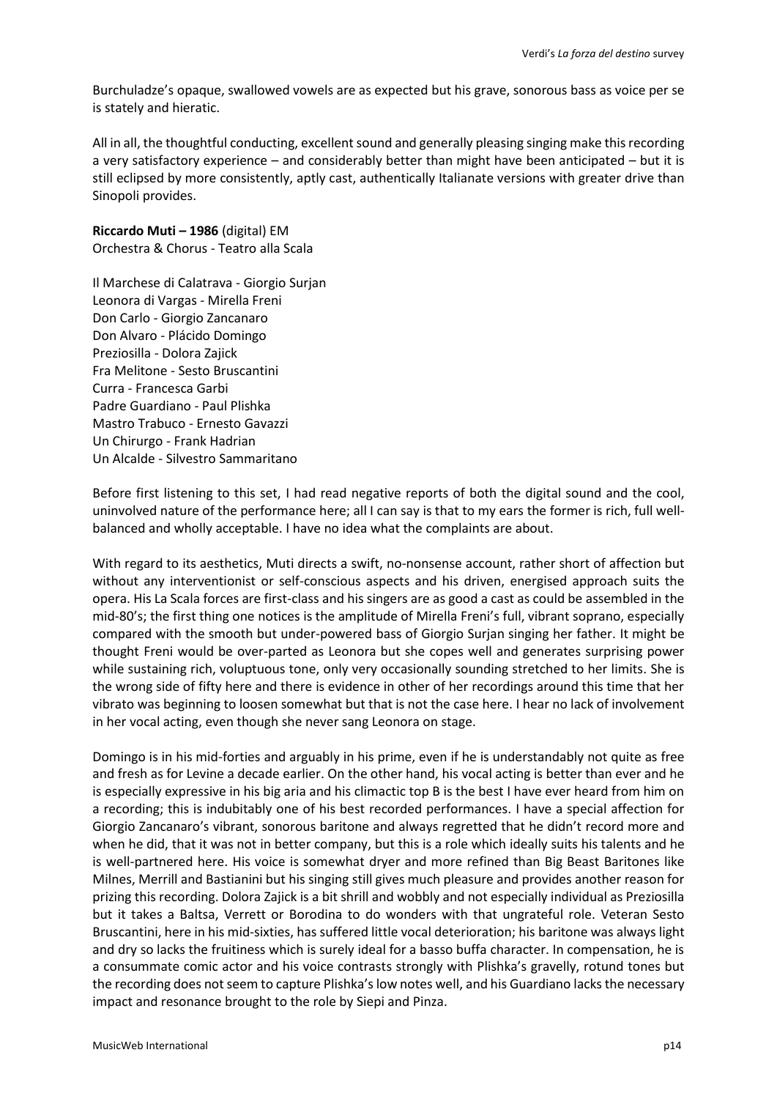Burchuladze's opaque, swallowed vowels are as expected but his grave, sonorous bass as voice per se is stately and hieratic.

All in all, the thoughtful conducting, excellent sound and generally pleasing singing make this recording a very satisfactory experience – and considerably better than might have been anticipated – but it is still eclipsed by more consistently, aptly cast, authentically Italianate versions with greater drive than Sinopoli provides.

**Riccardo Muti – 1986** (digital) EM Orchestra & Chorus - Teatro alla Scala

Il Marchese di Calatrava - Giorgio Surjan Leonora di Vargas - Mirella Freni Don Carlo - Giorgio Zancanaro Don Alvaro - Plácido Domingo Preziosilla - Dolora Zajick Fra Melitone - Sesto Bruscantini Curra - Francesca Garbi Padre Guardiano - Paul Plishka Mastro Trabuco - Ernesto Gavazzi Un Chirurgo - Frank Hadrian Un Alcalde - Silvestro Sammaritano

Before first listening to this set, I had read negative reports of both the digital sound and the cool, uninvolved nature of the performance here; all I can say is that to my ears the former is rich, full wellbalanced and wholly acceptable. I have no idea what the complaints are about.

With regard to its aesthetics, Muti directs a swift, no-nonsense account, rather short of affection but without any interventionist or self-conscious aspects and his driven, energised approach suits the opera. His La Scala forces are first-class and his singers are as good a cast as could be assembled in the mid-80's; the first thing one notices is the amplitude of Mirella Freni's full, vibrant soprano, especially compared with the smooth but under-powered bass of Giorgio Surjan singing her father. It might be thought Freni would be over-parted as Leonora but she copes well and generates surprising power while sustaining rich, voluptuous tone, only very occasionally sounding stretched to her limits. She is the wrong side of fifty here and there is evidence in other of her recordings around this time that her vibrato was beginning to loosen somewhat but that is not the case here. I hear no lack of involvement in her vocal acting, even though she never sang Leonora on stage.

Domingo is in his mid-forties and arguably in his prime, even if he is understandably not quite as free and fresh as for Levine a decade earlier. On the other hand, his vocal acting is better than ever and he is especially expressive in his big aria and his climactic top B is the best I have ever heard from him on a recording; this is indubitably one of his best recorded performances. I have a special affection for Giorgio Zancanaro's vibrant, sonorous baritone and always regretted that he didn't record more and when he did, that it was not in better company, but this is a role which ideally suits his talents and he is well-partnered here. His voice is somewhat dryer and more refined than Big Beast Baritones like Milnes, Merrill and Bastianini but his singing still gives much pleasure and provides another reason for prizing this recording. Dolora Zajick is a bit shrill and wobbly and not especially individual as Preziosilla but it takes a Baltsa, Verrett or Borodina to do wonders with that ungrateful role. Veteran Sesto Bruscantini, here in his mid-sixties, has suffered little vocal deterioration; his baritone was always light and dry so lacks the fruitiness which is surely ideal for a basso buffa character. In compensation, he is a consummate comic actor and his voice contrasts strongly with Plishka's gravelly, rotund tones but the recording does not seem to capture Plishka's low notes well, and his Guardiano lacks the necessary impact and resonance brought to the role by Siepi and Pinza.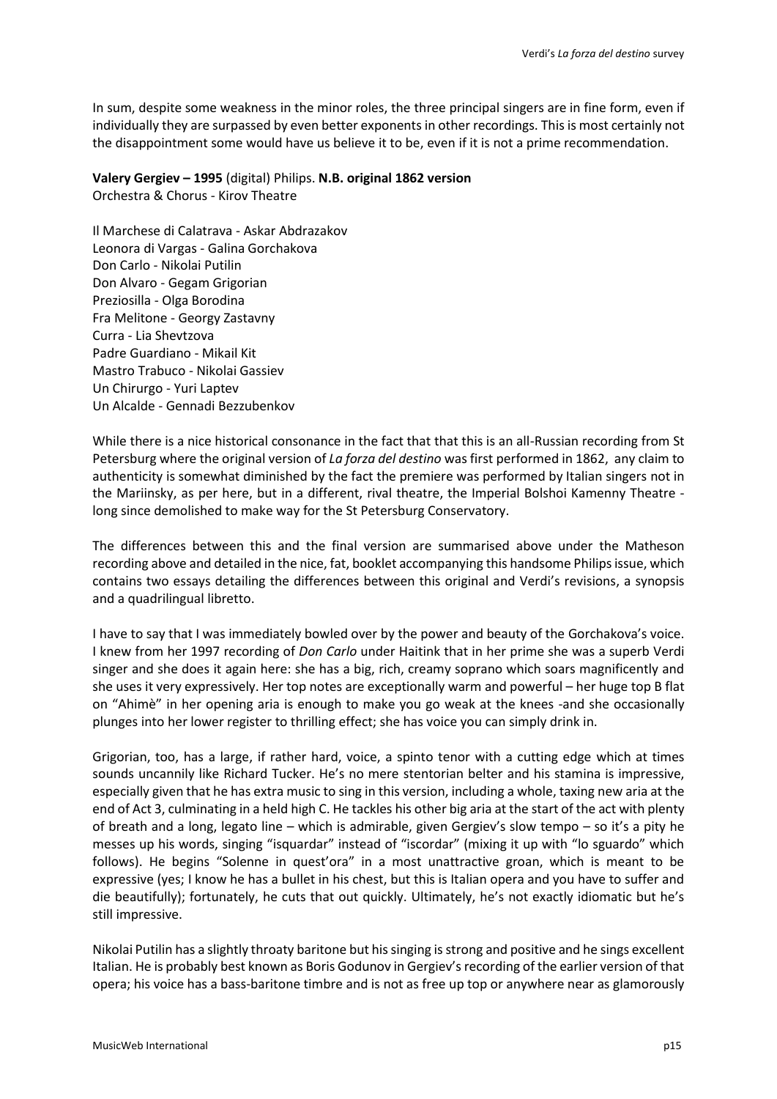In sum, despite some weakness in the minor roles, the three principal singers are in fine form, even if individually they are surpassed by even better exponents in other recordings. Thisis most certainly not the disappointment some would have us believe it to be, even if it is not a prime recommendation.

**Valery Gergiev – 1995** (digital) Philips. **N.B. original 1862 version** Orchestra & Chorus - Kirov Theatre

Il Marchese di Calatrava - Askar Abdrazakov Leonora di Vargas - Galina Gorchakova Don Carlo - Nikolai Putilin Don Alvaro - Gegam Grigorian Preziosilla - Olga Borodina Fra Melitone - Georgy Zastavny Curra - Lia Shevtzova Padre Guardiano - Mikail Kit Mastro Trabuco - Nikolai Gassiev Un Chirurgo - Yuri Laptev Un Alcalde - Gennadi Bezzubenkov

While there is a nice historical consonance in the fact that that this is an all-Russian recording from St Petersburg where the original version of *La forza del destino* was first performed in 1862, any claim to authenticity is somewhat diminished by the fact the premiere was performed by Italian singers not in the Mariinsky, as per here, but in a different, rival theatre, the Imperial Bolshoi Kamenny Theatre long since demolished to make way for the St Petersburg Conservatory.

The differences between this and the final version are summarised above under the Matheson recording above and detailed in the nice, fat, booklet accompanying this handsome Philips issue, which contains two essays detailing the differences between this original and Verdi's revisions, a synopsis and a quadrilingual libretto.

I have to say that I was immediately bowled over by the power and beauty of the Gorchakova's voice. I knew from her 1997 recording of *Don Carlo* under Haitink that in her prime she was a superb Verdi singer and she does it again here: she has a big, rich, creamy soprano which soars magnificently and she uses it very expressively. Her top notes are exceptionally warm and powerful – her huge top B flat on "Ahimè" in her opening aria is enough to make you go weak at the knees -and she occasionally plunges into her lower register to thrilling effect; she has voice you can simply drink in.

Grigorian, too, has a large, if rather hard, voice, a spinto tenor with a cutting edge which at times sounds uncannily like Richard Tucker. He's no mere stentorian belter and his stamina is impressive, especially given that he has extra music to sing in this version, including a whole, taxing new aria at the end of Act 3, culminating in a held high C. He tackles his other big aria at the start of the act with plenty of breath and a long, legato line – which is admirable, given Gergiev's slow tempo – so it's a pity he messes up his words, singing "isquardar" instead of "iscordar" (mixing it up with "lo sguardo" which follows). He begins "Solenne in quest'ora" in a most unattractive groan, which is meant to be expressive (yes; I know he has a bullet in his chest, but this is Italian opera and you have to suffer and die beautifully); fortunately, he cuts that out quickly. Ultimately, he's not exactly idiomatic but he's still impressive.

Nikolai Putilin has a slightly throaty baritone but his singing is strong and positive and he sings excellent Italian. He is probably best known as Boris Godunov in Gergiev's recording of the earlier version of that opera; his voice has a bass-baritone timbre and is not as free up top or anywhere near as glamorously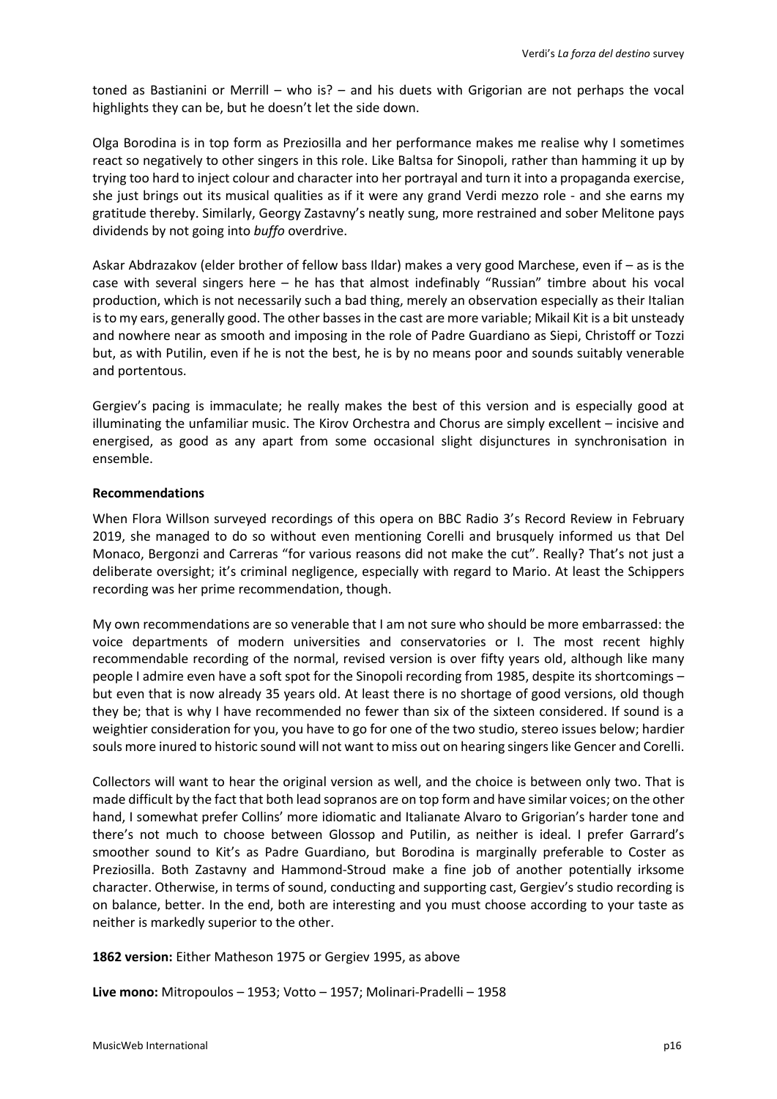toned as Bastianini or Merrill – who is? – and his duets with Grigorian are not perhaps the vocal highlights they can be, but he doesn't let the side down.

Olga Borodina is in top form as Preziosilla and her performance makes me realise why I sometimes react so negatively to other singers in this role. Like Baltsa for Sinopoli, rather than hamming it up by trying too hard to inject colour and character into her portrayal and turn it into a propaganda exercise, she just brings out its musical qualities as if it were any grand Verdi mezzo role - and she earns my gratitude thereby. Similarly, Georgy Zastavny's neatly sung, more restrained and sober Melitone pays dividends by not going into *buffo* overdrive.

Askar Abdrazakov (elder brother of fellow bass Ildar) makes a very good Marchese, even if – as is the case with several singers here – he has that almost indefinably "Russian" timbre about his vocal production, which is not necessarily such a bad thing, merely an observation especially as their Italian is to my ears, generally good. The other basses in the cast are more variable; Mikail Kit is a bit unsteady and nowhere near as smooth and imposing in the role of Padre Guardiano as Siepi, Christoff or Tozzi but, as with Putilin, even if he is not the best, he is by no means poor and sounds suitably venerable and portentous.

Gergiev's pacing is immaculate; he really makes the best of this version and is especially good at illuminating the unfamiliar music. The Kirov Orchestra and Chorus are simply excellent – incisive and energised, as good as any apart from some occasional slight disjunctures in synchronisation in ensemble.

# **Recommendations**

When Flora Willson surveyed recordings of this opera on BBC Radio 3's Record Review in February 2019, she managed to do so without even mentioning Corelli and brusquely informed us that Del Monaco, Bergonzi and Carreras "for various reasons did not make the cut". Really? That's not just a deliberate oversight; it's criminal negligence, especially with regard to Mario. At least the Schippers recording was her prime recommendation, though.

My own recommendations are so venerable that I am not sure who should be more embarrassed: the voice departments of modern universities and conservatories or I. The most recent highly recommendable recording of the normal, revised version is over fifty years old, although like many people I admire even have a soft spot for the Sinopoli recording from 1985, despite its shortcomings – but even that is now already 35 years old. At least there is no shortage of good versions, old though they be; that is why I have recommended no fewer than six of the sixteen considered. If sound is a weightier consideration for you, you have to go for one of the two studio, stereo issues below; hardier souls more inured to historic sound will not want to miss out on hearing singers like Gencer and Corelli.

Collectors will want to hear the original version as well, and the choice is between only two. That is made difficult by the fact that both lead sopranos are on top form and have similar voices; on the other hand, I somewhat prefer Collins' more idiomatic and Italianate Alvaro to Grigorian's harder tone and there's not much to choose between Glossop and Putilin, as neither is ideal. I prefer Garrard's smoother sound to Kit's as Padre Guardiano, but Borodina is marginally preferable to Coster as Preziosilla. Both Zastavny and Hammond-Stroud make a fine job of another potentially irksome character. Otherwise, in terms of sound, conducting and supporting cast, Gergiev's studio recording is on balance, better. In the end, both are interesting and you must choose according to your taste as neither is markedly superior to the other.

**1862 version:** Either Matheson 1975 or Gergiev 1995, as above

**Live mono:** Mitropoulos – 1953; Votto – 1957; Molinari-Pradelli – 1958